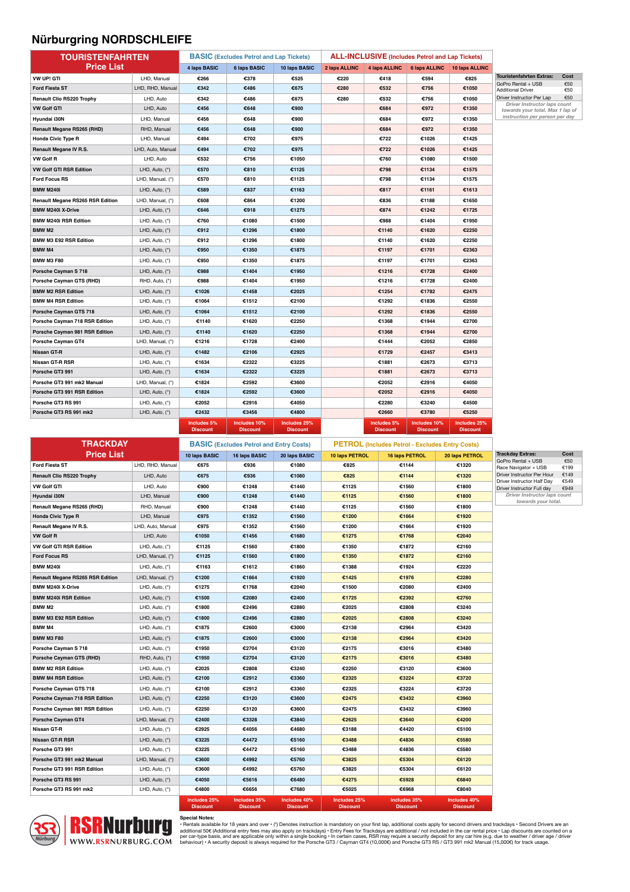### **Nürburgring NORDSCHLEIFE**

| <b>TOURISTENFAHRTEN</b>           |                   | <b>BASIC</b> (Excludes Petrol and Lap Tickets) |                                                | <b>ALL-INCLUSIVE (Includes Petrol and Lap Tickets)</b> |                |                                                        |                 |                                            |                                                                  |              |
|-----------------------------------|-------------------|------------------------------------------------|------------------------------------------------|--------------------------------------------------------|----------------|--------------------------------------------------------|-----------------|--------------------------------------------|------------------------------------------------------------------|--------------|
| <b>Price List</b>                 |                   | <b>4 laps BASIC</b>                            | 6 laps BASIC                                   | 10 laps BASIC                                          | 2 laps ALLINC  |                                                        |                 | 4 laps ALLINC 6 laps ALLINC 10 laps ALLINC |                                                                  |              |
| VW UP! GTI                        | LHD, Manual       | €266                                           | €378                                           | €525                                                   | €220           | €418                                                   | €594            | €825                                       | <b>Touristenfahrten Extras:</b>                                  | Cost         |
| <b>Ford Fiesta ST</b>             | LHD, RHD, Manual  | €342                                           | €486                                           | €675                                                   | €280           | €532                                                   | €756            | €1050                                      | GoPro Rental + USB<br><b>Additional Driver</b>                   | €50<br>€50   |
| <b>Renault Clio RS220 Trophy</b>  | LHD, Auto         | €342                                           | €486                                           | €675                                                   | €280           | €532                                                   | €756            | €1050                                      | Driver Instructor Per Lap                                        | €50          |
| <b>VW Golf GTI</b>                | LHD, Auto         | €456                                           | €648                                           | €900                                                   |                | €684                                                   | €972            | €1350                                      | Driver Instructor laps count<br>towards your total. Max 1 lap of |              |
| Hyundai i30N                      | LHD, Manual       | €456                                           | €648                                           | €900                                                   |                | €684                                                   | €972            | €1350                                      | instruction per person per day                                   |              |
| <b>Renault Megane RS265 (RHD)</b> | RHD, Manual       | €456                                           | €648                                           | €900                                                   |                | €684                                                   | €972            | €1350                                      |                                                                  |              |
| <b>Honda Civic Type R</b>         | LHD, Manual       | €494                                           | €702                                           | €975                                                   |                | €722                                                   | €1026           | €1425                                      |                                                                  |              |
| Renault Megane IV R.S.            | LHD, Auto, Manual | €494                                           | €702                                           | €975                                                   |                | €722                                                   | €1026           | €1425                                      |                                                                  |              |
| <b>VW Golf R</b>                  | LHD, Auto         | €532                                           | €756                                           | €1050                                                  |                | €760                                                   | €1080           | €1500                                      |                                                                  |              |
| <b>VW Golf GTI RSR Edition</b>    | LHD, Auto, (*)    | €570                                           | €810                                           | €1125                                                  |                | €798                                                   | €1134           | €1575                                      |                                                                  |              |
| <b>Ford Focus RS</b>              | LHD, Manual, (*)  | €570                                           | €810                                           | €1125                                                  |                | €798                                                   | €1134           | €1575                                      |                                                                  |              |
| <b>BMW M240i</b>                  | LHD, Auto, (*)    | €589                                           | €837                                           | €1163                                                  |                | €817                                                   | €1161           | €1613                                      |                                                                  |              |
| Renault Megane RS265 RSR Edition  | LHD, Manual, (*)  | €608                                           | €864                                           | €1200                                                  |                | €836                                                   | €1188           | €1650                                      |                                                                  |              |
| <b>BMW M240i X-Drive</b>          | LHD, Auto, $(*)$  | €646                                           | €918                                           | €1275                                                  |                | €874                                                   | €1242           | €1725                                      |                                                                  |              |
| <b>BMW M240i RSR Edition</b>      | LHD, Auto, (*)    | €760                                           | €1080                                          | €1500                                                  |                | €988                                                   | €1404           | €1950                                      |                                                                  |              |
| <b>BMW M2</b>                     | LHD, Auto, (*)    | €912                                           | €1296                                          | €1800                                                  |                | €1140                                                  | €1620           | €2250                                      |                                                                  |              |
| BMW M3 E92 RSR Edition            | LHD, Auto, (*)    | €912                                           | €1296                                          | €1800                                                  |                | €1140                                                  | €1620           | €2250                                      |                                                                  |              |
| <b>BMW M4</b>                     | LHD, Auto, (*)    | €950                                           | €1350                                          | €1875                                                  |                | €1197                                                  | €1701           | €2363                                      |                                                                  |              |
| <b>BMW M3 F80</b>                 | LHD, Auto, (*)    | €950                                           | €1350                                          | €1875                                                  |                | €1197                                                  | €1701           | €2363                                      |                                                                  |              |
| Porsche Cayman S 718              | LHD, Auto, (*)    | €988                                           | €1404                                          | €1950                                                  |                | €1216                                                  | €1728           | €2400                                      |                                                                  |              |
| Porsche Cayman GTS (RHD)          | RHD, Auto, (*)    | €988                                           | €1404                                          | €1950                                                  |                | €1216                                                  | €1728           | €2400                                      |                                                                  |              |
| <b>BMW M2 RSR Edition</b>         | LHD, Auto, (*)    | €1026                                          | €1458                                          | €2025                                                  |                | €1254                                                  | €1782           | €2475                                      |                                                                  |              |
| <b>BMW M4 RSR Edition</b>         | LHD, Auto, (*)    | €1064                                          | €1512                                          | €2100                                                  |                | €1292                                                  | €1836           | €2550                                      |                                                                  |              |
| Porsche Cayman GTS 718            | LHD, Auto, $(*)$  | €1064                                          | €1512                                          | €2100                                                  |                | €1292                                                  | €1836           | €2550                                      |                                                                  |              |
| Porsche Cayman 718 RSR Edition    | LHD, Auto, (*)    | €1140                                          | €1620                                          | €2250                                                  |                | €1368                                                  | €1944           | €2700                                      |                                                                  |              |
| Porsche Cayman 981 RSR Edition    | LHD, Auto, (*)    | €1140                                          | €1620                                          | €2250                                                  |                | €1368                                                  | €1944           | €2700                                      |                                                                  |              |
| Porsche Cayman GT4                | LHD, Manual, (*)  | €1216                                          | €1728                                          | €2400                                                  |                | €1444                                                  | €2052           | €2850                                      |                                                                  |              |
| Nissan GT-R                       | LHD, Auto, (*)    | €1482                                          | €2106                                          | €2925                                                  |                | €1729                                                  | €2457           | €3413                                      |                                                                  |              |
| Nissan GT-R RSR                   | LHD, Auto, (*)    | €1634                                          | €2322                                          | €3225                                                  |                | €1881                                                  | €2673           | €3713                                      |                                                                  |              |
| Porsche GT3 991                   | LHD, Auto, (*)    | €1634                                          | €2322                                          | €3225                                                  |                | €1881                                                  | €2673           | €3713                                      |                                                                  |              |
| Porsche GT3 991 mk2 Manual        | LHD, Manual, (*)  | €1824                                          | €2592                                          | €3600                                                  |                | €2052                                                  | €2916           | €4050                                      |                                                                  |              |
| Porsche GT3 991 RSR Edition       | LHD, Auto, (*)    | €1824                                          | €2592                                          | €3600                                                  |                | €2052                                                  | €2916           | €4050                                      |                                                                  |              |
| Porsche GT3 RS 991                | LHD, Auto, (*)    | €2052                                          | €2916                                          | €4050                                                  |                | €2280                                                  | €3240           | €4500                                      |                                                                  |              |
| Porsche GT3 RS 991 mk2            | LHD, Auto, (*)    | €2432                                          | €3456                                          | €4800                                                  |                | €2660                                                  | €3780           | €5250                                      |                                                                  |              |
|                                   |                   | Includes 5%                                    | Includes 10%                                   | Includes 25%                                           |                | Includes 5%                                            | Includes 10%    | Includes 25%                               |                                                                  |              |
|                                   |                   | <b>Discount</b>                                | <b>Discount</b>                                | <b>Discount</b>                                        |                | <b>Discount</b>                                        | <b>Discount</b> | <b>Discount</b>                            |                                                                  |              |
| <b>TRACKDAY</b>                   |                   |                                                | <b>BASIC</b> (Excludes Petrol and Entry Costs) |                                                        |                | <b>PETROL</b> (Includes Petrol - Excludes Entry Costs) |                 |                                            |                                                                  |              |
| <b>Price List</b>                 |                   | 10 laps BASIC                                  | 16 laps BASIC                                  | 20 laps BASIC                                          | 10 laps PETROL |                                                        | 16 laps PETROL  | 20 laps PETROL                             | <b>Trackday Extras:</b>                                          | Cost         |
| <b>Ford Fiesta ST</b>             | LHD, RHD, Manual  | €675                                           | €936                                           | €1080                                                  | €825           |                                                        | €1144           | €1320                                      | GoPro Rental + USB<br>Race Navigator + USB                       | €50<br>€199  |
| <b>Renault Clio RS220 Trophy</b>  | LHD, Auto         | €675                                           | €936                                           | €1080                                                  | €825           |                                                        | €1144           | €1320                                      | Driver Instructor Per Hour                                       | €149         |
| <b>VW Golf GTI</b>                | LHD, Auto         | €900                                           | €1248                                          | €1440                                                  | €1125          |                                                        | €1560           | €1800                                      | Driver Instructor Half Day<br>Driver Instructor Full day         | €549<br>€949 |
| Hyundai i30N                      | LHD, Manual       | €900                                           | €1248                                          | €1440                                                  | €1125          |                                                        | €1560           | €1800                                      | Driver Instructor laps count                                     |              |
|                                   |                   |                                                |                                                |                                                        |                |                                                        |                 |                                            | towards your total.                                              |              |

| <b>VW Golf GTI</b>                      | LHD, Auto         | €900                            | €1248                           | €1440                           | €1125                           | €1560                           | €1800                           |
|-----------------------------------------|-------------------|---------------------------------|---------------------------------|---------------------------------|---------------------------------|---------------------------------|---------------------------------|
| Hyundai i30N                            | LHD, Manual       | €900                            | €1248                           | €1440                           | €1125                           | €1560                           | €1800                           |
| Renault Megane RS265 (RHD)              | RHD, Manual       | €900                            | €1248                           | €1440                           | €1125                           | €1560                           | €1800                           |
| <b>Honda Civic Type R</b>               | LHD, Manual       | €975                            | €1352                           | €1560                           | €1200                           | €1664                           | €1920                           |
| Renault Megane IV R.S.                  | LHD, Auto, Manual | €975                            | €1352                           | €1560                           | €1200                           | €1664                           | €1920                           |
| <b>VW Golf R</b>                        | LHD, Auto         | €1050                           | €1456                           | €1680                           | €1275                           | €1768                           | €2040                           |
| <b>VW Golf GTI RSR Edition</b>          | LHD, Auto, (*)    | €1125                           | €1560                           | €1800                           | €1350                           | €1872                           | €2160                           |
| <b>Ford Focus RS</b>                    | LHD, Manual, (*)  | €1125                           | €1560                           | €1800                           | €1350                           | €1872                           | €2160                           |
| <b>BMW M240i</b>                        | LHD, Auto, (*)    | €1163                           | €1612                           | €1860                           | €1388                           | €1924                           | €2220                           |
| <b>Renault Megane RS265 RSR Edition</b> | LHD, Manual, (*)  | €1200                           | €1664                           | €1920                           | €1425                           | €1976                           | €2280                           |
| <b>BMW M240i X-Drive</b>                | LHD, Auto, (*)    | €1275                           | €1768                           | €2040                           | €1500                           | €2080                           | €2400                           |
| <b>BMW M240i RSR Edition</b>            | LHD, Auto, $(*)$  | €1500                           | €2080                           | €2400                           | €1725                           | €2392                           | €2760                           |
| BMW M2                                  | LHD, Auto, (*)    | €1800                           | €2496                           | €2880                           | €2025                           | €2808                           | €3240                           |
| <b>BMW M3 E92 RSR Edition</b>           | LHD, Auto, (*)    | €1800                           | €2496                           | €2880                           | €2025                           | €2808                           | €3240                           |
| <b>BMW M4</b>                           | LHD, Auto, (*)    | €1875                           | €2600                           | €3000                           | €2138                           | €2964                           | €3420                           |
| <b>BMW M3 F80</b>                       | LHD, Auto, $(*)$  | €1875                           | €2600                           | €3000                           | €2138                           | €2964                           | €3420                           |
| Porsche Cayman S 718                    | LHD, Auto, (*)    | €1950                           | €2704                           | €3120                           | €2175                           | €3016                           | €3480                           |
| Porsche Cayman GTS (RHD)                | RHD, Auto, (*)    | €1950                           | €2704                           | €3120                           | €2175                           | €3016                           | €3480                           |
| <b>BMW M2 RSR Edition</b>               | LHD, Auto, (*)    | €2025                           | €2808                           | €3240                           | €2250                           | €3120                           | €3600                           |
| <b>BMW M4 RSR Edition</b>               | LHD, Auto, $(*)$  | €2100                           | €2912                           | €3360                           | €2325                           | €3224                           | €3720                           |
| Porsche Cayman GTS 718                  | LHD, Auto, (*)    | €2100                           | €2912                           | €3360                           | €2325                           | €3224                           | €3720                           |
| Porsche Cayman 718 RSR Edition          | LHD, Auto, (*)    | €2250                           | €3120                           | €3600                           | €2475                           | €3432                           | €3960                           |
| Porsche Cayman 981 RSR Edition          | LHD, Auto, (*)    | €2250                           | €3120                           | €3600                           | €2475                           | €3432                           | €3960                           |
| <b>Porsche Cayman GT4</b>               | LHD, Manual, (*)  | €2400                           | €3328                           | €3840                           | €2625                           | €3640                           | €4200                           |
| Nissan GT-R                             | LHD, Auto, (*)    | €2925                           | €4056                           | €4680                           | €3188                           | €4420                           | €5100                           |
| Nissan GT-R RSR                         | LHD, Auto, (*)    | €3225                           | €4472                           | €5160                           | €3488                           | €4836                           | €5580                           |
| Porsche GT3 991                         | LHD, Auto, (*)    | €3225                           | €4472                           | €5160                           | €3488                           | €4836                           | €5580                           |
| Porsche GT3 991 mk2 Manual              | LHD, Manual, (*)  | €3600                           | €4992                           | €5760                           | €3825                           | €5304                           | €6120                           |
| Porsche GT3 991 RSR Edition             | LHD, Auto, (*)    | €3600                           | €4992                           | €5760                           | €3825                           | €5304                           | €6120                           |
| Porsche GT3 RS 991                      | LHD, Auto, (*)    | €4050                           | €5616                           | €6480                           | €4275                           | €5928                           | €6840                           |
| Porsche GT3 RS 991 mk2                  | LHD, Auto, (*)    | €4800                           | €6656                           | €7680                           | €5025                           | €6968                           | €8040                           |
|                                         |                   | Includes 25%<br><b>Discount</b> | Includes 35%<br><b>Discount</b> | Includes 40%<br><b>Discount</b> | Includes 25%<br><b>Discount</b> | Includes 35%<br><b>Discount</b> | Includes 40%<br><b>Discount</b> |



Special Notes:<br>• Rentals available for 18 years and over • (") Denotes instruction is mandatory on your first lap, additional costs apply for second drivers and trackdays • Second Drivers are an<br>• Rentals available for 18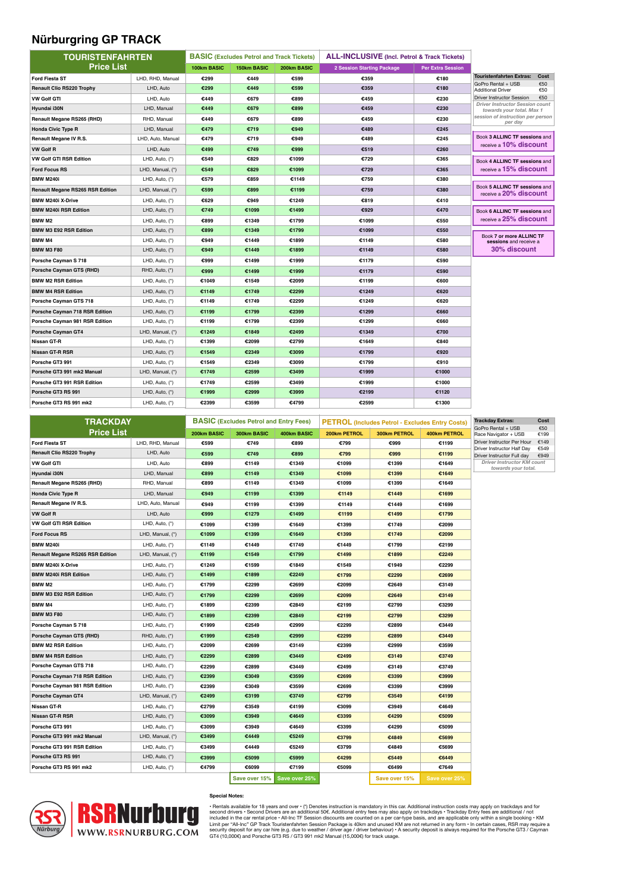### **Nürburgring GP TRACK**

| <b>TOURISTENFAHRTEN</b>                 |                   | <b>BASIC (Excludes Petrol and Track Tickets)</b> |             |             | <b>ALL-INCLUSIVE</b> (Incl. Petrol & Track Tickets) |                          |                                                                     |            |
|-----------------------------------------|-------------------|--------------------------------------------------|-------------|-------------|-----------------------------------------------------|--------------------------|---------------------------------------------------------------------|------------|
| <b>Price List</b>                       |                   | 100km BASIC                                      | 150km BASIC | 200km BASIC | 2 Session Starting Package                          | <b>Per Extra Session</b> |                                                                     |            |
| <b>Ford Fiesta ST</b>                   | LHD, RHD, Manual  | €299                                             | €449        | €599        | €359                                                | €180                     | <b>Touristenfahrten Extras:</b>                                     | Cost       |
| <b>Renault Clio RS220 Trophy</b>        | LHD, Auto         | €299                                             | €449        | €599        | €359                                                | €180                     | GoPro Rental + USB<br><b>Additional Driver</b>                      | €50<br>€50 |
| <b>VW Golf GTI</b>                      | LHD, Auto         | €449                                             | €679        | €899        | €459                                                | €230                     | Driver Instructor Session                                           | €50        |
| Hyundai i30N                            | LHD, Manual       | €449                                             | €679        | €899        | €459                                                | €230                     | <b>Driver Instructor Session count</b><br>towards your total. Max 1 |            |
| Renault Megane RS265 (RHD)              | RHD, Manual       | €449                                             | €679        | €899        | €459                                                | €230                     | session of instruction per person<br>per day                        |            |
| <b>Honda Civic Type R</b>               | LHD, Manual       | €479                                             | €719        | €949        | €489                                                | €245                     |                                                                     |            |
| Renault Megane IV R.S.                  | LHD, Auto, Manual | €479                                             | €719        | €949        | €489                                                | €245                     | Book 3 ALLINC TF sessions and                                       |            |
| <b>VW Golf R</b>                        | LHD, Auto         | €499                                             | €749        | €999        | €519                                                | €260                     | receive a 10% discount                                              |            |
| <b>VW Golf GTI RSR Edition</b>          | LHD, Auto, (*)    | €549                                             | €829        | €1099       | €729                                                | €365                     | Book 4 ALLINC TF sessions and                                       |            |
| <b>Ford Focus RS</b>                    | LHD, Manual, (*)  | €549                                             | €829        | €1099       | €729                                                | €365                     | receive a 15% discount                                              |            |
| <b>BMW M240i</b>                        | LHD, Auto, (*)    | €579                                             | €859        | €1149       | €759                                                | €380                     |                                                                     |            |
| <b>Renault Megane RS265 RSR Edition</b> | LHD, Manual, (*)  | €599                                             | €899        | €1199       | €759                                                | €380                     | Book 5 ALLINC TF sessions and<br>receive a 20% discount             |            |
| <b>BMW M240i X-Drive</b>                | LHD, Auto, (*)    | €629                                             | €949        | €1249       | €819                                                | €410                     |                                                                     |            |
| <b>BMW M240i RSR Edition</b>            | LHD, Auto, (*)    | €749                                             | €1099       | €1499       | €929                                                | €470                     | Book 6 ALLINC TF sessions and                                       |            |
| BMW M2                                  | LHD, Auto, (*)    | €899                                             | €1349       | €1799       | €1099                                               | €550                     | receive a 25% discount                                              |            |
| <b>BMW M3 E92 RSR Edition</b>           | LHD, Auto, (*)    | €899                                             | €1349       | €1799       | €1099                                               | €550                     |                                                                     |            |
| <b>BMW M4</b>                           | LHD, Auto, (*)    | €949                                             | €1449       | €1899       | €1149                                               | €580                     | Book 7 or more ALLINC TF<br>sessions and receive a                  |            |
| <b>BMW M3 F80</b>                       | LHD, Auto, (*)    | €949                                             | €1449       | €1899       | €1149                                               | €580                     | 30% discount                                                        |            |
| Porsche Cayman S 718                    | LHD, Auto, (*)    | €999                                             | €1499       | €1999       | €1179                                               | €590                     |                                                                     |            |
| <b>Porsche Cayman GTS (RHD)</b>         | RHD, Auto, (*)    | €999                                             | €1499       | €1999       | €1179                                               | €590                     |                                                                     |            |
| <b>BMW M2 RSR Edition</b>               | LHD, Auto, (*)    | €1049                                            | €1549       | €2099       | €1199                                               | €600                     |                                                                     |            |
| <b>BMW M4 RSR Edition</b>               | LHD, Auto, (*)    | €1149                                            | €1749       | €2299       | €1249                                               | €620                     |                                                                     |            |
| Porsche Cayman GTS 718                  | LHD, Auto, (*)    | €1149                                            | €1749       | €2299       | €1249                                               | €620                     |                                                                     |            |
| Porsche Cayman 718 RSR Edition          | LHD, Auto, (*)    | €1199                                            | €1799       | €2399       | €1299                                               | €660                     |                                                                     |            |
| Porsche Cayman 981 RSR Edition          | LHD, Auto, (*)    | €1199                                            | €1799       | €2399       | €1299                                               | €660                     |                                                                     |            |
| Porsche Cayman GT4                      | LHD, Manual, (*)  | €1249                                            | €1849       | €2499       | €1349                                               | €700                     |                                                                     |            |
| Nissan GT-R                             | LHD, Auto, (*)    | €1399                                            | €2099       | €2799       | €1649                                               | €840                     |                                                                     |            |
| Nissan GT-R RSR                         | LHD, Auto, (*)    | €1549                                            | €2349       | €3099       | €1799                                               | €920                     |                                                                     |            |
| Porsche GT3 991                         | LHD, Auto, (*)    | €1549                                            | €2349       | €3099       | €1799                                               | €910                     |                                                                     |            |
| Porsche GT3 991 mk2 Manual              | LHD, Manual, (*)  | €1749                                            | €2599       | €3499       | €1999                                               | €1000                    |                                                                     |            |
| Porsche GT3 991 RSR Edition             | LHD, Auto, (*)    | €1749                                            | €2599       | €3499       | €1999                                               | €1000                    |                                                                     |            |
| Porsche GT3 RS 991                      | LHD, Auto, (*)    | €1999                                            | €2999       | €3999       | €2199                                               | €1120                    |                                                                     |            |
| Porsche GT3 RS 991 mk2                  | LHD, Auto, (*)    | €2399                                            | €3599       | €4799       | €2599                                               | €1300                    |                                                                     |            |

| <b>TRACKDAY</b>                         |                   | <b>BASIC (Excludes Petrol and Entry Fees)</b> |               |               | <b>PETROL</b> (Includes Petrol - Excludes Entry Costs) |               |               | <b>Trackday Extras:</b>                                  | Cost         |
|-----------------------------------------|-------------------|-----------------------------------------------|---------------|---------------|--------------------------------------------------------|---------------|---------------|----------------------------------------------------------|--------------|
| <b>Price List</b>                       |                   | 200km BASIC                                   | 300km BASIC   | 400km BASIC   | 200km PETROL                                           | 300km PETROL  | 400km PETROL  | GoPro Rental + USB<br>Race Navigator + USB               | €50<br>€199  |
| <b>Ford Fiesta ST</b>                   | LHD, RHD, Manual  | €599                                          | €749          | €899          | €799                                                   | €999          | €1199         | Driver Instructor Per Hour                               | €149         |
| <b>Renault Clio RS220 Trophy</b>        | LHD, Auto         | €599                                          | €749          | €899          | €799                                                   | €999          | €1199         | Driver Instructor Half Day<br>Driver Instructor Full day | €549<br>€949 |
| <b>VW Golf GTI</b>                      | LHD, Auto         | €899                                          | €1149         | €1349         | €1099                                                  | €1399         | €1649         | Driver Instructor KM count                               |              |
| Hyundai i30N                            | LHD, Manual       | €899                                          | €1149         | €1349         | €1099                                                  | €1399         | €1649         | towards your total.                                      |              |
| Renault Megane RS265 (RHD)              | RHD, Manual       | €899                                          | €1149         | €1349         | €1099                                                  | €1399         | €1649         |                                                          |              |
| <b>Honda Civic Type R</b>               | LHD, Manual       | €949                                          | €1199         | €1399         | €1149                                                  | €1449         | €1699         |                                                          |              |
| Renault Megane IV R.S.                  | LHD, Auto, Manual | €949                                          | €1199         | €1399         | €1149                                                  | €1449         | €1699         |                                                          |              |
| <b>VW Golf R</b>                        | LHD, Auto         | €999                                          | €1279         | €1499         | €1199                                                  | €1499         | €1799         |                                                          |              |
| VW Golf GTI RSR Edition                 | LHD, Auto, (*)    | €1099                                         | €1399         | €1649         | €1399                                                  | €1749         | €2099         |                                                          |              |
| <b>Ford Focus RS</b>                    | LHD, Manual, (*)  | €1099                                         | €1399         | €1649         | €1399                                                  | €1749         | €2099         |                                                          |              |
| <b>BMW M240i</b>                        | LHD, Auto, (*)    | €1149                                         | €1449         | €1749         | €1449                                                  | €1799         | €2199         |                                                          |              |
| <b>Renault Megane RS265 RSR Edition</b> | LHD, Manual, (*)  | €1199                                         | €1549         | €1799         | €1499                                                  | €1899         | €2249         |                                                          |              |
| <b>BMW M240i X-Drive</b>                | LHD, Auto, (*)    | €1249                                         | €1599         | €1849         | €1549                                                  | €1949         | €2299         |                                                          |              |
| <b>BMW M240i RSR Edition</b>            | LHD, Auto, (*)    | €1499                                         | €1899         | €2249         | €1799                                                  | €2299         | €2699         |                                                          |              |
| BMW M2                                  | LHD, Auto, (*)    | €1799                                         | €2299         | €2699         | €2099                                                  | €2649         | €3149         |                                                          |              |
| BMW M3 E92 RSR Edition                  | LHD, Auto, (*)    | €1799                                         | €2299         | €2699         | €2099                                                  | €2649         | €3149         |                                                          |              |
| BMW M4                                  | LHD, Auto, (*)    | €1899                                         | €2399         | €2849         | €2199                                                  | €2799         | €3299         |                                                          |              |
| <b>BMW M3 F80</b>                       | LHD, Auto, $(*)$  | €1899                                         | €2399         | €2849         | €2199                                                  | €2799         | €3299         |                                                          |              |
| Porsche Cayman S 718                    | LHD, Auto, (*)    | €1999                                         | €2549         | €2999         | €2299                                                  | €2899         | €3449         |                                                          |              |
| Porsche Cayman GTS (RHD)                | RHD, Auto, (*)    | €1999                                         | €2549         | €2999         | €2299                                                  | €2899         | €3449         |                                                          |              |
| <b>BMW M2 RSR Edition</b>               | LHD, Auto, (*)    | €2099                                         | €2699         | €3149         | €2399                                                  | €2999         | €3599         |                                                          |              |
| <b>BMW M4 RSR Edition</b>               | LHD, Auto, (*)    | €2299                                         | €2899         | €3449         | €2499                                                  | €3149         | €3749         |                                                          |              |
| Porsche Cayman GTS 718                  | LHD, Auto, (*)    | €2299                                         | €2899         | €3449         | €2499                                                  | €3149         | €3749         |                                                          |              |
| Porsche Cayman 718 RSR Edition          | LHD, Auto, $(*)$  | €2399                                         | €3049         | €3599         | €2699                                                  | €3399         | €3999         |                                                          |              |
| Porsche Cayman 981 RSR Edition          | LHD, Auto, (*)    | €2399                                         | €3049         | €3599         | €2699                                                  | €3399         | €3999         |                                                          |              |
| Porsche Cayman GT4                      | LHD, Manual, (*)  | €2499                                         | €3199         | €3749         | €2799                                                  | €3549         | €4199         |                                                          |              |
| Nissan GT-R                             | LHD, Auto, (*)    | €2799                                         | €3549         | €4199         | €3099                                                  | €3949         | €4649         |                                                          |              |
| Nissan GT-R RSR                         | LHD, Auto, (*)    | €3099                                         | €3949         | €4649         | €3399                                                  | €4299         | €5099         |                                                          |              |
| Porsche GT3 991                         | LHD, Auto, (*)    | €3099                                         | €3949         | €4649         | €3399                                                  | €4299         | €5099         |                                                          |              |
| Porsche GT3 991 mk2 Manual              | LHD, Manual, (*)  | €3499                                         | €4449         | €5249         | €3799                                                  | €4849         | €5699         |                                                          |              |
| Porsche GT3 991 RSR Edition             | LHD, Auto, (*)    | €3499                                         | €4449         | €5249         | €3799                                                  | €4849         | €5699         |                                                          |              |
| Porsche GT3 RS 991                      | LHD, Auto, (*)    | €3999                                         | €5099         | €5999         | €4299                                                  | €5449         | €6449         |                                                          |              |
| Porsche GT3 RS 991 mk2                  | LHD, Auto, (*)    | €4799                                         | €6099         | €7199         | €5099                                                  | €6499         | €7649         |                                                          |              |
|                                         |                   |                                               | Save over 15% | Save over 25% |                                                        | Save over 15% | Save over 25% |                                                          |              |



#### **Special Notes:**

Flentals available for 18 years and over • (") Denotes instruction is mandatory in this car. Additional instruction costs may apply on trackdays and for<br>second drivers • Second Drivers are an additional SD6. Additional ent

J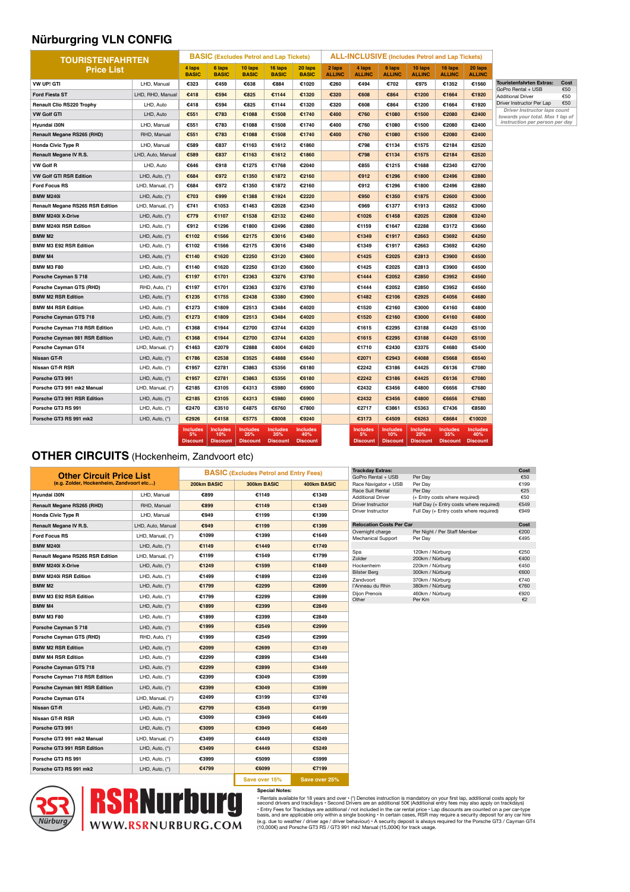### **Nürburgring VLN CONFIG**

| <b>TOURISTENFAHRTEN</b>                 |                   | <b>BASIC</b> (Excludes Petrol and Lap Tickets) |                                           |                                           |                                           | <b>ALL-INCLUSIVE</b> (Includes Petrol and Lap Tickets) |                         |                                          |                                           |                                           |                                           |                                           |                                                                  |            |
|-----------------------------------------|-------------------|------------------------------------------------|-------------------------------------------|-------------------------------------------|-------------------------------------------|--------------------------------------------------------|-------------------------|------------------------------------------|-------------------------------------------|-------------------------------------------|-------------------------------------------|-------------------------------------------|------------------------------------------------------------------|------------|
| <b>Price List</b>                       |                   | 4 laps<br><b>BASIC</b>                         | 6 laps<br><b>BASIC</b>                    | 10 laps<br><b>BASIC</b>                   | 16 laps<br><b>BASIC</b>                   | 20 laps<br><b>BASIC</b>                                | 2 laps<br><b>ALLINC</b> | 4 laps<br><b>ALLINC</b>                  | 6 laps<br><b>ALLINC</b>                   | 10 laps<br><b>ALLINC</b>                  | 16 laps<br><b>ALLINC</b>                  | 20 laps<br><b>ALLINC</b>                  |                                                                  |            |
| VW UP! GTI                              | LHD, Manual       | €323                                           | €459                                      | €638                                      | €884                                      | €1020                                                  | €260                    | €494                                     | €702                                      | €975                                      | €1352                                     | €1560                                     | <b>Touristenfahrten Extras:</b>                                  | Cost       |
| <b>Ford Fiesta ST</b>                   | LHD, RHD, Manual  | €418                                           | €594                                      | €825                                      | €1144                                     | €1320                                                  | €320                    | €608                                     | €864                                      | €1200                                     | €1664                                     | €1920                                     | GoPro Rental + USB<br><b>Additional Driver</b>                   | €50<br>€50 |
| <b>Renault Clio RS220 Trophy</b>        | LHD, Auto         | €418                                           | €594                                      | €825                                      | €1144                                     | €1320                                                  | €320                    | €608                                     | €864                                      | €1200                                     | €1664                                     | €1920                                     | Driver Instructor Per Lap                                        | €50        |
| <b>VW Golf GTI</b>                      | LHD, Auto         | €551                                           | €783                                      | €1088                                     | €1508                                     | €1740                                                  | €400                    | €760                                     | €1080                                     | €1500                                     | €2080                                     | €2400                                     | Driver Instructor laps count<br>towards your total. Max 1 lap of |            |
| Hyundai i30N                            | LHD, Manual       | €551                                           | €783                                      | €1088                                     | €1508                                     | €1740                                                  | €400                    | €760                                     | €1080                                     | €1500                                     | €2080                                     | €2400                                     | instruction per person per day                                   |            |
| Renault Megane RS265 (RHD)              | RHD, Manual       | €551                                           | €783                                      | €1088                                     | €1508                                     | €1740                                                  | €400                    | €760                                     | €1080                                     | €1500                                     | €2080                                     | €2400                                     |                                                                  |            |
| <b>Honda Civic Type R</b>               | LHD. Manual       | €589                                           | €837                                      | €1163                                     | €1612                                     | €1860                                                  |                         | €798                                     | €1134                                     | €1575                                     | €2184                                     | €2520                                     |                                                                  |            |
| Renault Megane IV R.S.                  | LHD, Auto, Manual | €589                                           | €837                                      | €1163                                     | €1612                                     | €1860                                                  |                         | €798                                     | €1134                                     | €1575                                     | €2184                                     | €2520                                     |                                                                  |            |
| <b>VW Golf R</b>                        | LHD, Auto         | €646                                           | €918                                      | €1275                                     | €1768                                     | €2040                                                  |                         | €855                                     | €1215                                     | €1688                                     | €2340                                     | €2700                                     |                                                                  |            |
| <b>VW Golf GTI RSR Edition</b>          | LHD, Auto, (*)    | €684                                           | €972                                      | €1350                                     | €1872                                     | €2160                                                  |                         | €912                                     | €1296                                     | €1800                                     | €2496                                     | €2880                                     |                                                                  |            |
| <b>Ford Focus RS</b>                    | LHD, Manual, (*)  | €684                                           | €972                                      | €1350                                     | €1872                                     | €2160                                                  |                         | €912                                     | €1296                                     | €1800                                     | €2496                                     | €2880                                     |                                                                  |            |
| <b>BMW M240i</b>                        | LHD, Auto, (*)    | €703                                           | €999                                      | €1388                                     | €1924                                     | €2220                                                  |                         | €950                                     | €1350                                     | €1875                                     | €2600                                     | €3000                                     |                                                                  |            |
| <b>Renault Megane RS265 RSR Edition</b> | LHD, Manual, (*)  | €741                                           | €1053                                     | €1463                                     | €2028                                     | €2340                                                  |                         | €969                                     | €1377                                     | €1913                                     | €2652                                     | €3060                                     |                                                                  |            |
| <b>BMW M240i X-Drive</b>                | LHD, Auto, (*)    | €779                                           | €1107                                     | €1538                                     | €2132                                     | €2460                                                  |                         | €1026                                    | €1458                                     | €2025                                     | €2808                                     | €3240                                     |                                                                  |            |
| <b>BMW M240i RSR Edition</b>            | LHD, Auto, (*)    | €912                                           | €1296                                     | €1800                                     | €2496                                     | €2880                                                  |                         | €1159                                    | €1647                                     | €2288                                     | €3172                                     | €3660                                     |                                                                  |            |
| <b>BMW M2</b>                           | LHD, Auto, (*)    | €1102                                          | €1566                                     | €2175                                     | €3016                                     | €3480                                                  |                         | €1349                                    | €1917                                     | €2663                                     | €3692                                     | €4260                                     |                                                                  |            |
| <b>BMW M3 E92 RSR Edition</b>           | LHD, Auto, (*)    | €1102                                          | €1566                                     | €2175                                     | €3016                                     | €3480                                                  |                         | €1349                                    | €1917                                     | €2663                                     | €3692                                     | €4260                                     |                                                                  |            |
| <b>BMW M4</b>                           | LHD, Auto, (*)    | €1140                                          | €1620                                     | €2250                                     | €3120                                     | €3600                                                  |                         | €1425                                    | €2025                                     | €2813                                     | €3900                                     | €4500                                     |                                                                  |            |
| <b>BMW M3 F80</b>                       | LHD, Auto, (*)    | €1140                                          | €1620                                     | €2250                                     | €3120                                     | €3600                                                  |                         | €1425                                    | €2025                                     | €2813                                     | €3900                                     | €4500                                     |                                                                  |            |
| Porsche Cayman S 718                    | LHD, Auto, (*)    | €1197                                          | €1701                                     | €2363                                     | €3276                                     | €3780                                                  |                         | €1444                                    | €2052                                     | €2850                                     | €3952                                     | €4560                                     |                                                                  |            |
| Porsche Cayman GTS (RHD)                | RHD, Auto, (*)    | €1197                                          | €1701                                     | €2363                                     | €3276                                     | €3780                                                  |                         | €1444                                    | €2052                                     | €2850                                     | €3952                                     | €4560                                     |                                                                  |            |
| <b>BMW M2 RSR Edition</b>               | LHD, Auto, (*)    | €1235                                          | €1755                                     | €2438                                     | €3380                                     | €3900                                                  |                         | €1482                                    | €2106                                     | €2925                                     | €4056                                     | €4680                                     |                                                                  |            |
| <b>BMW M4 RSR Edition</b>               | LHD, Auto, (*)    | €1273                                          | €1809                                     | €2513                                     | €3484                                     | €4020                                                  |                         | €1520                                    | €2160                                     | €3000                                     | €4160                                     | €4800                                     |                                                                  |            |
| Porsche Cayman GTS 718                  | LHD, Auto, (*)    | €1273                                          | €1809                                     | €2513                                     | €3484                                     | €4020                                                  |                         | €1520                                    | €2160                                     | €3000                                     | €4160                                     | €4800                                     |                                                                  |            |
| Porsche Cayman 718 RSR Edition          | LHD, Auto, (*)    | €1368                                          | €1944                                     | €2700                                     | €3744                                     | €4320                                                  |                         | €1615                                    | €2295                                     | €3188                                     | €4420                                     | €5100                                     |                                                                  |            |
| <b>Porsche Cayman 981 RSR Edition</b>   | LHD, Auto, (*)    | €1368                                          | €1944                                     | €2700                                     | €3744                                     | €4320                                                  |                         | €1615                                    | €2295                                     | €3188                                     | €4420                                     | €5100                                     |                                                                  |            |
| Porsche Cayman GT4                      | LHD, Manual, (*)  | €1463                                          | €2079                                     | €2888                                     | €4004                                     | €4620                                                  |                         | €1710                                    | €2430                                     | €3375                                     | €4680                                     | €5400                                     |                                                                  |            |
| Nissan GT-R                             | LHD, Auto, (*)    | €1786                                          | €2538                                     | €3525                                     | €4888                                     | €5640                                                  |                         | €2071                                    | €2943                                     | €4088                                     | €5668                                     | €6540                                     |                                                                  |            |
| <b>Nissan GT-R RSR</b>                  | LHD, Auto, (*)    | €1957                                          | €2781                                     | €3863                                     | €5356                                     | €6180                                                  |                         | €2242                                    | €3186                                     | €4425                                     | €6136                                     | €7080                                     |                                                                  |            |
| Porsche GT3 991                         | LHD, Auto, (*)    | €1957                                          | €2781                                     | €3863                                     | €5356                                     | €6180                                                  |                         | €2242                                    | €3186                                     | €4425                                     | €6136                                     | €7080                                     |                                                                  |            |
| Porsche GT3 991 mk2 Manual              | LHD, Manual, (*)  | €2185                                          | €3105                                     | €4313                                     | €5980                                     | €6900                                                  |                         | €2432                                    | €3456                                     | €4800                                     | €6656                                     | €7680                                     |                                                                  |            |
| Porsche GT3 991 RSR Edition             | LHD, Auto, (*)    | €2185                                          | €3105                                     | €4313                                     | €5980                                     | €6900                                                  |                         | €2432                                    | €3456                                     | €4800                                     | €6656                                     | €7680                                     |                                                                  |            |
| Porsche GT3 RS 991                      | LHD, Auto, (*)    | €2470                                          | €3510                                     | €4875                                     | €6760                                     | €7800                                                  |                         | €2717                                    | €3861                                     | €5363                                     | €7436                                     | €8580                                     |                                                                  |            |
| Porsche GT3 RS 991 mk2                  | LHD, Auto, (*)    | €2926                                          | €4158                                     | €5775                                     | €8008                                     | €9240                                                  |                         | €3173                                    | €4509                                     | €6263                                     | €8684                                     | €10020                                    |                                                                  |            |
|                                         |                   | <b>Includes</b><br>5%<br><b>Discount</b>       | <b>Includes</b><br>10%<br><b>Discount</b> | <b>Includes</b><br>25%<br><b>Discount</b> | <b>Includes</b><br>35%<br><b>Discount</b> | <b>Includes</b><br>40%<br><b>Discount</b>              |                         | <b>Includes</b><br>5%<br><b>Discount</b> | <b>Includes</b><br>10%<br><b>Discount</b> | <b>Includes</b><br>25%<br><b>Discount</b> | <b>Includes</b><br>35%<br><b>Discount</b> | <b>Includes</b><br>40%<br><b>Discount</b> |                                                                  |            |

#### **OTHER CIRCUITS** (Hockenheim, Zandvoort etc)

| <b>Other Circuit Price List</b>          |                   | <b>BASIC (Excludes Petrol and Entry Fees)</b> |               |               |  |  |  |
|------------------------------------------|-------------------|-----------------------------------------------|---------------|---------------|--|--|--|
| (e.g. Zolder, Hockenheim, Zandvoort etc) |                   | 200km BASIC                                   | 300km BASIC   | 400km BASIC   |  |  |  |
| Hyundai i30N                             | LHD, Manual       | €899                                          | €1149         | €1349         |  |  |  |
| <b>Renault Megane RS265 (RHD)</b>        | RHD, Manual       | €899                                          | €1149         | €1349         |  |  |  |
| <b>Honda Civic Type R</b>                | LHD, Manual       | €949                                          | €1199         | €1399         |  |  |  |
| Renault Megane IV R.S.                   | LHD, Auto, Manual | €949                                          | €1199         | €1399         |  |  |  |
| <b>Ford Focus RS</b>                     | LHD, Manual, (*)  | €1099                                         | €1399         | €1649         |  |  |  |
| <b>BMW M240i</b>                         | LHD, Auto, (*)    | €1149                                         | €1449         | €1749         |  |  |  |
| <b>Renault Megane RS265 RSR Edition</b>  | LHD, Manual, (*)  | €1199                                         | €1549         | €1799         |  |  |  |
| <b>BMW M240i X-Drive</b>                 | LHD, Auto, $(*)$  | €1249                                         | €1599         | €1849         |  |  |  |
| <b>BMW M240i RSR Edition</b>             | LHD, Auto, (*)    | €1499                                         | €1899         | €2249         |  |  |  |
| BMW M2                                   | LHD, Auto, $(*)$  | €1799                                         | €2299         | €2699         |  |  |  |
| <b>BMW M3 E92 RSR Edition</b>            | LHD, Auto, (*)    | €1799                                         | €2299         | €2699         |  |  |  |
| <b>BMW M4</b>                            | LHD, Auto, $(*)$  | €1899                                         | €2399         | €2849         |  |  |  |
| <b>BMW M3 F80</b>                        | LHD, Auto, (*)    | €1899                                         | €2399         | €2849         |  |  |  |
| Porsche Cayman S 718                     | LHD, Auto, $(*)$  | €1999                                         | €2549         | €2999         |  |  |  |
| Porsche Cayman GTS (RHD)                 | RHD, Auto, (*)    | €1999                                         | €2549         | €2999         |  |  |  |
| <b>BMW M2 RSR Edition</b>                | LHD, Auto, $(*)$  | €2099                                         | €2699         | €3149         |  |  |  |
| <b>BMW M4 RSR Edition</b>                | LHD, Auto, (*)    | €2299                                         | €2899         | €3449         |  |  |  |
| Porsche Cayman GTS 718                   | LHD, Auto, (*)    | €2299                                         | €2899         | €3449         |  |  |  |
| Porsche Cayman 718 RSR Edition           | LHD, Auto, (*)    | €2399                                         | €3049         | €3599         |  |  |  |
| Porsche Cayman 981 RSR Edition           | LHD, Auto, $(*)$  | €2399                                         | €3049         | €3599         |  |  |  |
| Porsche Cayman GT4                       | LHD, Manual, (*)  | €2499                                         | €3199         | €3749         |  |  |  |
| Nissan GT-R                              | LHD, Auto, $(*)$  | €2799                                         | €3549         | €4199         |  |  |  |
| Nissan GT-R RSR                          | LHD, Auto, (*)    | €3099                                         | €3949         | €4649         |  |  |  |
| Porsche GT3 991                          | LHD, Auto, (*)    | €3099                                         | €3949         | €4649         |  |  |  |
| Porsche GT3 991 mk2 Manual               | LHD, Manual, (*)  | €3499                                         | €4449         | €5249         |  |  |  |
| Porsche GT3 991 RSR Edition              | LHD, Auto, (*)    | €3499                                         | €4449         | €5249         |  |  |  |
| Porsche GT3 RS 991                       | LHD, Auto, (*)    | €3999                                         | €5099         | €5999         |  |  |  |
| Porsche GT3 RS 991 mk2                   | LHD, Auto, (*)    | €4799                                         | €6099         | €7199         |  |  |  |
|                                          |                   |                                               | Save over 15% | Save over 25% |  |  |  |

| <b>Trackday Extras:</b>         |                                         | Cost |
|---------------------------------|-----------------------------------------|------|
| GoPro Rental + USB              | Per Day                                 | €50  |
| Race Navigator + USB            | Per Day                                 | €199 |
| Race Suit Rental                | Per Day                                 | €25  |
| <b>Additional Driver</b>        | (+ Entry costs where required)          | €50  |
| Driver Instructor               | Half Day (+ Entry costs where required) | €549 |
| Driver Instructor               | Full Day (+ Entry costs where required) | €949 |
| <b>Relocation Costs Per Car</b> |                                         | Cost |
| Overnight charge                | Per Night / Per Staff Member            | €200 |
| Mechanical Support              | Per Dav                                 | €495 |
|                                 |                                         |      |
| Spa                             | 120km / Nürburg                         | €250 |
| Zolder                          | 200km / Nürburg                         | €400 |
| Hockenheim                      | 220km / Nürburg                         | €450 |
| <b>Bilster Berg</b>             | 300km / Nürburg                         | €600 |
| <b>Zandvoort</b>                | 370km / Nürburg                         | €740 |
| l'Anneau du Rhin                | 380km / Nürburg                         | €760 |
| Dijon Prenois                   | 460km / Nürburg                         | €920 |
| Other                           | Per Km                                  | €2   |
|                                 |                                         |      |



Special Notes:<br>• Rentals available for 18 years and over • (\*) Denotes instruction is mandatory on your first lap, additional costs apply for<br>• Rentals available for 18 years and over • (\*) Denotes instruction is mandatory